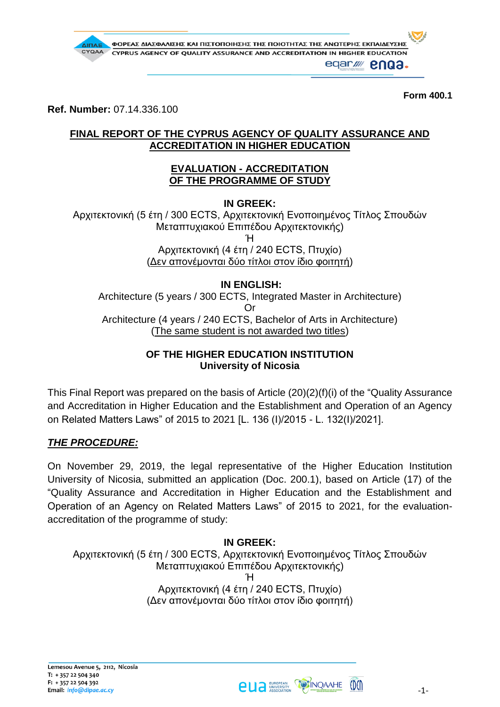

**Form 400.1**

**Ref. Number:** 07.14.336.100

## **FINAL REPORT OF THE CYPRUS AGENCY OF QUALITY ASSURANCE AND ACCREDITATION IN HIGHER EDUCATION**

### **EVALUATION - ACCREDITATION OF THE PROGRAMME OF STUDY**

**IN GREEK:**

Αρχιτεκτονική (5 έτη / 300 ECTS, Αρχιτεκτονική Ενοποιημένος Τίτλος Σπουδών Μεταπτυχιακού Επιπέδου Αρχιτεκτονικής) Ή Αρχιτεκτονική (4 έτη / 240 ECTS, Πτυχίο) (Δεν απονέμονται δύο τίτλοι στον ίδιο φοιτητή)

## **IN ENGLISH:**

Architecture (5 years / 300 ECTS, Integrated Master in Architecture) Or Architecture (4 years / 240 ECTS, Bachelor of Arts in Architecture) (The same student is not awarded two titles)

# **OF THE HIGHER EDUCATION INSTITUTION University of Nicosia**

This Final Report was prepared on the basis of Article (20)(2)(f)(i) of the "Quality Assurance and Accreditation in Higher Education and the Establishment and Operation of an Agency on Related Matters Laws" of 2015 to 2021 [L. 136 (Ι)/2015 - L. 132(Ι)/2021].

# *THE PROCEDURE:*

On November 29, 2019, the legal representative of the Higher Education Institution University of Nicosia, submitted an application (Doc. 200.1), based on Article (17) of the "Quality Assurance and Accreditation in Higher Education and the Establishment and Operation of an Agency on Related Matters Laws" of 2015 to 2021, for the evaluationaccreditation of the programme of study:

#### **IN GREEK:** Αρχιτεκτονική (5 έτη / 300 ECTS, Αρχιτεκτονική Ενοποιημένος Τίτλος Σπουδών Μεταπτυχιακού Επιπέδου Αρχιτεκτονικής) Ή Αρχιτεκτονική (4 έτη / 240 ECTS, Πτυχίο) (Δεν απονέμονται δύο τίτλοι στον ίδιο φοιτητή)

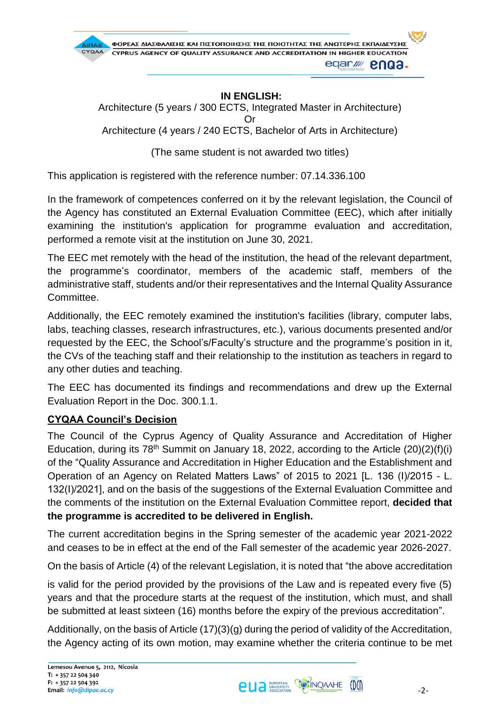

## **IN ENGLISH:**

Architecture (5 years / 300 ECTS, Integrated Master in Architecture) Or Architecture (4 years / 240 ECTS, Bachelor of Arts in Architecture)

(The same student is not awarded two titles)

This application is registered with the reference number: 07.14.336.100

In the framework of competences conferred on it by the relevant legislation, the Council of the Agency has constituted an External Evaluation Committee (EEC), which after initially examining the institution's application for programme evaluation and accreditation, performed a remote visit at the institution on June 30, 2021.

The EEC met remotely with the head of the institution, the head of the relevant department, the programme's coordinator, members of the academic staff, members of the administrative staff, students and/or their representatives and the Internal Quality Assurance Committee.

Additionally, the EEC remotely examined the institution's facilities (library, computer labs, labs, teaching classes, research infrastructures, etc.), various documents presented and/or requested by the EEC, the School's/Faculty's structure and the programme's position in it, the CVs of the teaching staff and their relationship to the institution as teachers in regard to any other duties and teaching.

The EEC has documented its findings and recommendations and drew up the External Evaluation Report in the Doc. 300.1.1.

## **CYQAA Council's Decision**

The Council of the Cyprus Agency of Quality Assurance and Accreditation of Higher Education, during its  $78<sup>th</sup>$  Summit on January 18, 2022, according to the Article (20)(2)(f)(i) of the "Quality Assurance and Accreditation in Higher Education and the Establishment and Operation of an Agency on Related Matters Laws" of 2015 to 2021 [L. 136 (Ι)/2015 - L. 132(I)/2021], and on the basis of the suggestions of the External Evaluation Committee and the comments of the institution on the External Evaluation Committee report, **decided that the programme is accredited to be delivered in English.**

The current accreditation begins in the Spring semester of the academic year 2021-2022 and ceases to be in effect at the end of the Fall semester of the academic year 2026-2027.

On the basis of Article (4) of the relevant Legislation, it is noted that "the above accreditation

is valid for the period provided by the provisions of the Law and is repeated every five (5) years and that the procedure starts at the request of the institution, which must, and shall be submitted at least sixteen (16) months before the expiry of the previous accreditation".

Additionally, on the basis of Article (17)(3)(g) during the period of validity of the Accreditation, the Agency acting of its own motion, may examine whether the criteria continue to be met